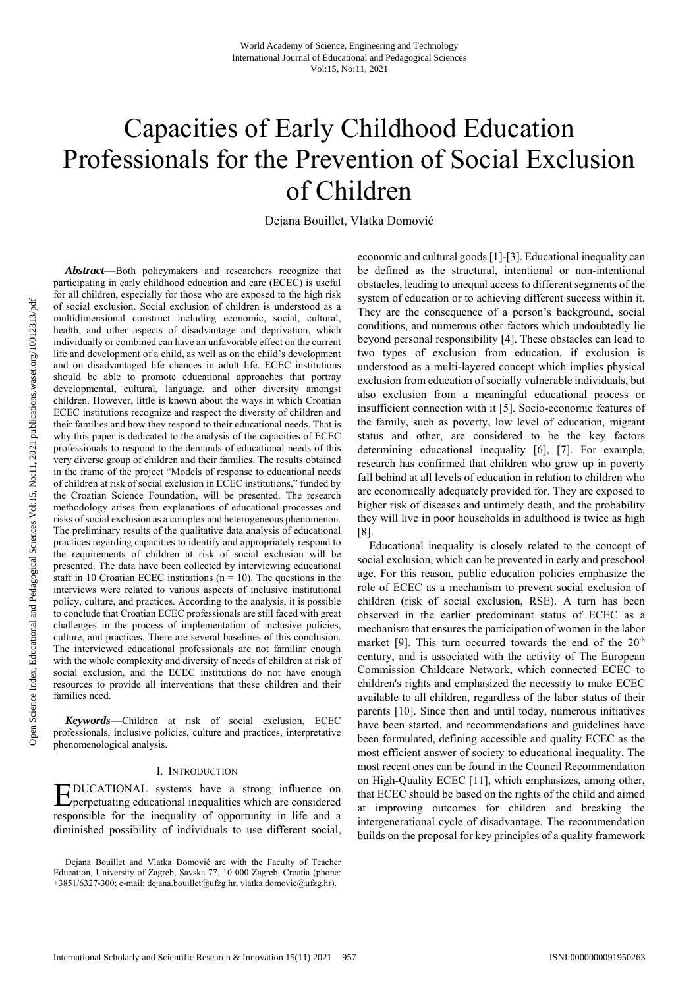# Capacities of Early Childhood Education Professionals for the Prevention of Social Exclusion of Children

Dejana Bouillet, Vlatka Domović

*Abstract—*Both policymakers and researchers recognize that participating in early childhood education and care (ECEC) is useful for all children, especially for those who are exposed to the high risk of social exclusion. Social exclusion of children is understood as a multidimensional construct including economic, social, cultural, health, and other aspects of disadvantage and deprivation, which individually or combined can have an unfavorable effect on the current life and development of a child, as well as on the child's development and on disadvantaged life chances in adult life. ECEC institutions should be able to promote educational approaches that portray developmental, cultural, language, and other diversity amongst children. However, little is known about the ways in which Croatian ECEC institutions recognize and respect the diversity of children and their families and how they respond to their educational needs. That is why this paper is dedicated to the analysis of the capacities of ECEC professionals to respond to the demands of educational needs of this very diverse group of children and their families. The results obtained in the frame of the project "Models of response to educational needs of children at risk of social exclusion in ECEC institutions," funded by the Croatian Science Foundation, will be presented. The research methodology arises from explanations of educational processes and risks of social exclusion as a complex and heterogeneous phenomenon. The preliminary results of the qualitative data analysis of educational practices regarding capacities to identify and appropriately respond to the requirements of children at risk of social exclusion will be presented. The data have been collected by interviewing educational staff in 10 Croatian ECEC institutions ( $n = 10$ ). The questions in the interviews were related to various aspects of inclusive institutional policy, culture, and practices. According to the analysis, it is possible to conclude that Croatian ECEC professionals are still faced with great challenges in the process of implementation of inclusive policies, culture, and practices. There are several baselines of this conclusion. The interviewed educational professionals are not familiar enough with the whole complexity and diversity of needs of children at risk of social exclusion, and the ECEC institutions do not have enough resources to provide all interventions that these children and their families need.

*Keywords***—**Children at risk of social exclusion, ECEC professionals, inclusive policies, culture and practices, interpretative phenomenological analysis.

## I. INTRODUCTION

DUCATIONAL systems have a strong influence on **EDUCATIONAL** systems have a strong influence on perpetuating educational inequalities which are considered responsible for the inequality of opportunity in life and a diminished possibility of individuals to use different social,

economic and cultural goods [1]-[3]. Educational inequality can be defined as the structural, intentional or non-intentional obstacles, leading to unequal access to different segments of the system of education or to achieving different success within it. They are the consequence of a person's background, social conditions, and numerous other factors which undoubtedly lie beyond personal responsibility [4]. These obstacles can lead to two types of exclusion from education, if exclusion is understood as a multi-layered concept which implies physical exclusion from education of socially vulnerable individuals, but also exclusion from a meaningful educational process or insufficient connection with it [5]. Socio-economic features of the family, such as poverty, low level of education, migrant status and other, are considered to be the key factors determining educational inequality [6], [7]. For example, research has confirmed that children who grow up in poverty fall behind at all levels of education in relation to children who are economically adequately provided for. They are exposed to higher risk of diseases and untimely death, and the probability they will live in poor households in adulthood is twice as high [8].

Educational inequality is closely related to the concept of social exclusion, which can be prevented in early and preschool age. For this reason, public education policies emphasize the role of ECEC as a mechanism to prevent social exclusion of children (risk of social exclusion, RSE). A turn has been observed in the earlier predominant status of ECEC as a mechanism that ensures the participation of women in the labor market [9]. This turn occurred towards the end of the  $20<sup>th</sup>$ century, and is associated with the activity of The European Commission Childcare Network, which connected ECEC to children's rights and emphasized the necessity to make ECEC available to all children, regardless of the labor status of their parents [10]. Since then and until today, numerous initiatives have been started, and recommendations and guidelines have been formulated, defining accessible and quality ECEC as the most efficient answer of society to educational inequality. The most recent ones can be found in the Council Recommendation on High-Quality ECEC [11], which emphasizes, among other, that ECEC should be based on the rights of the child and aimed at improving outcomes for children and breaking the intergenerational cycle of disadvantage. The recommendation builds on the proposal for key principles of a quality framework

Dejana Bouillet and Vlatka Domović are with the Faculty of Teacher Education, University of Zagreb, Savska 77, 10 000 Zagreb, Croatia (phone: +3851/6327-300; e-mail: dejana.bouillet@ufzg.hr, vlatka.domovic@ufzg.hr).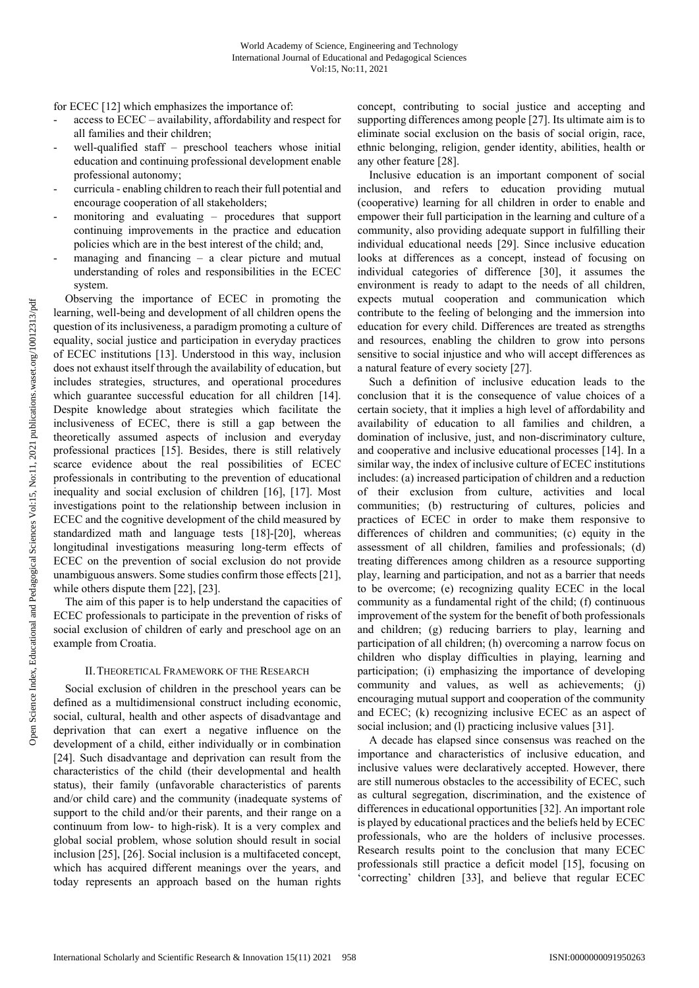for ECEC [12] which emphasizes the importance of:

- access to ECEC availability, affordability and respect for all families and their children;
- well-qualified staff preschool teachers whose initial education and continuing professional development enable professional autonomy;
- curricula enabling children to reach their full potential and encourage cooperation of all stakeholders;
- monitoring and evaluating procedures that support continuing improvements in the practice and education policies which are in the best interest of the child; and,
- managing and financing  $-$  a clear picture and mutual understanding of roles and responsibilities in the ECEC system.

Observing the importance of ECEC in promoting the learning, well-being and development of all children opens the question of its inclusiveness, a paradigm promoting a culture of equality, social justice and participation in everyday practices of ECEC institutions [13]. Understood in this way, inclusion does not exhaust itself through the availability of education, but includes strategies, structures, and operational procedures which guarantee successful education for all children [14]. Despite knowledge about strategies which facilitate the inclusiveness of ECEC, there is still a gap between the theoretically assumed aspects of inclusion and everyday professional practices [15]. Besides, there is still relatively scarce evidence about the real possibilities of ECEC professionals in contributing to the prevention of educational inequality and social exclusion of children [16], [17]. Most investigations point to the relationship between inclusion in ECEC and the cognitive development of the child measured by standardized math and language tests [18]-[20], whereas longitudinal investigations measuring long-term effects of ECEC on the prevention of social exclusion do not provide unambiguous answers. Some studies confirm those effects [21], while others dispute them [22], [23].

The aim of this paper is to help understand the capacities of ECEC professionals to participate in the prevention of risks of social exclusion of children of early and preschool age on an example from Croatia.

# II.THEORETICAL FRAMEWORK OF THE RESEARCH

Social exclusion of children in the preschool years can be defined as a multidimensional construct including economic, social, cultural, health and other aspects of disadvantage and deprivation that can exert a negative influence on the development of a child, either individually or in combination [24]. Such disadvantage and deprivation can result from the characteristics of the child (their developmental and health status), their family (unfavorable characteristics of parents and/or child care) and the community (inadequate systems of support to the child and/or their parents, and their range on a continuum from low- to high-risk). It is a very complex and global social problem, whose solution should result in social inclusion [25], [26]. Social inclusion is a multifaceted concept, which has acquired different meanings over the years, and today represents an approach based on the human rights

concept, contributing to social justice and accepting and supporting differences among people [27]. Its ultimate aim is to eliminate social exclusion on the basis of social origin, race, ethnic belonging, religion, gender identity, abilities, health or any other feature [28].

Inclusive education is an important component of social inclusion, and refers to education providing mutual (cooperative) learning for all children in order to enable and empower their full participation in the learning and culture of a community, also providing adequate support in fulfilling their individual educational needs [29]. Since inclusive education looks at differences as a concept, instead of focusing on individual categories of difference [30], it assumes the environment is ready to adapt to the needs of all children, expects mutual cooperation and communication which contribute to the feeling of belonging and the immersion into education for every child. Differences are treated as strengths and resources, enabling the children to grow into persons sensitive to social injustice and who will accept differences as a natural feature of every society [27].

Such a definition of inclusive education leads to the conclusion that it is the consequence of value choices of a certain society, that it implies a high level of affordability and availability of education to all families and children, a domination of inclusive, just, and non-discriminatory culture, and cooperative and inclusive educational processes [14]. In a similar way, the index of inclusive culture of ECEC institutions includes: (a) increased participation of children and a reduction of their exclusion from culture, activities and local communities; (b) restructuring of cultures, policies and practices of ECEC in order to make them responsive to differences of children and communities; (c) equity in the assessment of all children, families and professionals; (d) treating differences among children as a resource supporting play, learning and participation, and not as a barrier that needs to be overcome; (e) recognizing quality ECEC in the local community as a fundamental right of the child; (f) continuous improvement of the system for the benefit of both professionals and children; (g) reducing barriers to play, learning and participation of all children; (h) overcoming a narrow focus on children who display difficulties in playing, learning and participation; (i) emphasizing the importance of developing community and values, as well as achievements; (j) encouraging mutual support and cooperation of the community and ECEC; (k) recognizing inclusive ECEC as an aspect of social inclusion; and (1) practicing inclusive values [31].

A decade has elapsed since consensus was reached on the importance and characteristics of inclusive education, and inclusive values were declaratively accepted. However, there are still numerous obstacles to the accessibility of ECEC, such as cultural segregation, discrimination, and the existence of differences in educational opportunities [32]. An important role is played by educational practices and the beliefs held by ECEC professionals, who are the holders of inclusive processes. Research results point to the conclusion that many ECEC professionals still practice a deficit model [15], focusing on 'correcting' children [33], and believe that regular ECEC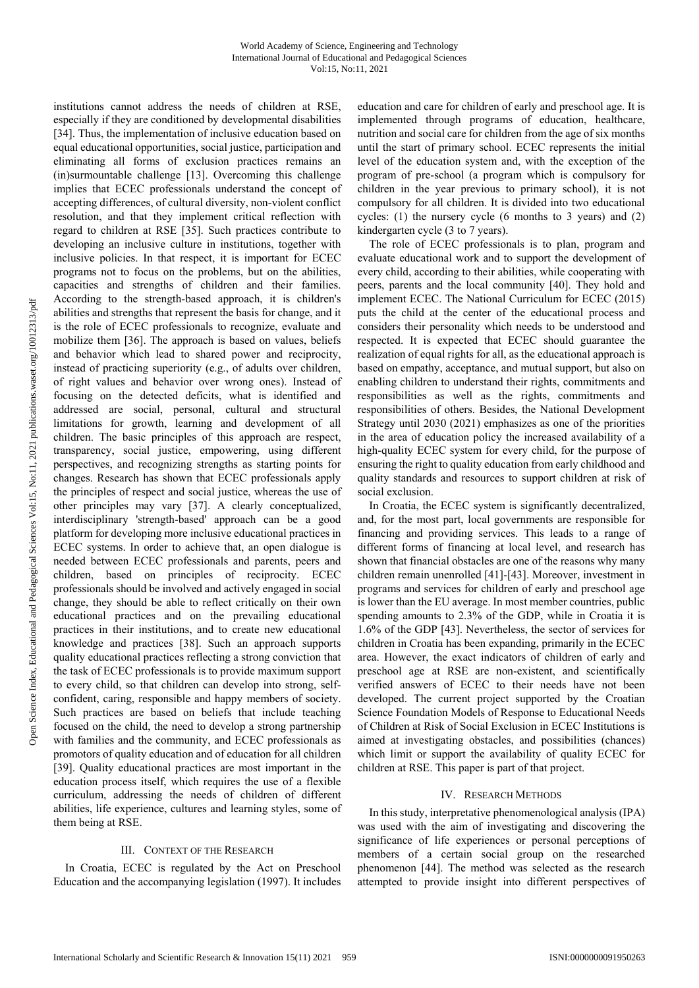institutions cannot address the needs of children at RSE, especially if they are conditioned by developmental disabilities [34]. Thus, the implementation of inclusive education based on equal educational opportunities, social justice, participation and eliminating all forms of exclusion practices remains an (in)surmountable challenge [13]. Overcoming this challenge implies that ECEC professionals understand the concept of accepting differences, of cultural diversity, non-violent conflict resolution, and that they implement critical reflection with regard to children at RSE [35]. Such practices contribute to developing an inclusive culture in institutions, together with inclusive policies. In that respect, it is important for ECEC programs not to focus on the problems, but on the abilities, capacities and strengths of children and their families. According to the strength-based approach, it is children's abilities and strengths that represent the basis for change, and it is the role of ECEC professionals to recognize, evaluate and mobilize them [36]. The approach is based on values, beliefs and behavior which lead to shared power and reciprocity, instead of practicing superiority (e.g., of adults over children, of right values and behavior over wrong ones). Instead of focusing on the detected deficits, what is identified and addressed are social, personal, cultural and structural limitations for growth, learning and development of all children. The basic principles of this approach are respect, transparency, social justice, empowering, using different perspectives, and recognizing strengths as starting points for changes. Research has shown that ECEC professionals apply the principles of respect and social justice, whereas the use of other principles may vary [37]. A clearly conceptualized, interdisciplinary 'strength-based' approach can be a good platform for developing more inclusive educational practices in ECEC systems. In order to achieve that, an open dialogue is needed between ECEC professionals and parents, peers and children, based on principles of reciprocity. ECEC professionals should be involved and actively engaged in social change, they should be able to reflect critically on their own educational practices and on the prevailing educational practices in their institutions, and to create new educational knowledge and practices [38]. Such an approach supports quality educational practices reflecting a strong conviction that the task of ECEC professionals is to provide maximum support to every child, so that children can develop into strong, selfconfident, caring, responsible and happy members of society. Such practices are based on beliefs that include teaching focused on the child, the need to develop a strong partnership with families and the community, and ECEC professionals as promotors of quality education and of education for all children [39]. Quality educational practices are most important in the education process itself, which requires the use of a flexible curriculum, addressing the needs of children of different abilities, life experience, cultures and learning styles, some of them being at RSE.

#### III. CONTEXT OF THE RESEARCH

In Croatia, ECEC is regulated by the Act on Preschool Education and the accompanying legislation (1997). It includes education and care for children of early and preschool age. It is implemented through programs of education, healthcare, nutrition and social care for children from the age of six months until the start of primary school. ECEC represents the initial level of the education system and, with the exception of the program of pre-school (a program which is compulsory for children in the year previous to primary school), it is not compulsory for all children. It is divided into two educational cycles: (1) the nursery cycle (6 months to 3 years) and (2) kindergarten cycle (3 to 7 years).

The role of ECEC professionals is to plan, program and evaluate educational work and to support the development of every child, according to their abilities, while cooperating with peers, parents and the local community [40]. They hold and implement ECEC. The National Curriculum for ECEC (2015) puts the child at the center of the educational process and considers their personality which needs to be understood and respected. It is expected that ECEC should guarantee the realization of equal rights for all, as the educational approach is based on empathy, acceptance, and mutual support, but also on enabling children to understand their rights, commitments and responsibilities as well as the rights, commitments and responsibilities of others. Besides, the National Development Strategy until 2030 (2021) emphasizes as one of the priorities in the area of education policy the increased availability of a high-quality ECEC system for every child, for the purpose of ensuring the right to quality education from early childhood and quality standards and resources to support children at risk of social exclusion.

In Croatia, the ECEC system is significantly decentralized, and, for the most part, local governments are responsible for financing and providing services. This leads to a range of different forms of financing at local level, and research has shown that financial obstacles are one of the reasons why many children remain unenrolled [41]-[43]. Moreover, investment in programs and services for children of early and preschool age is lower than the EU average. In most member countries, public spending amounts to 2.3% of the GDP, while in Croatia it is 1.6% of the GDP [43]. Nevertheless, the sector of services for children in Croatia has been expanding, primarily in the ECEC area. However, the exact indicators of children of early and preschool age at RSE are non-existent, and scientifically verified answers of ECEC to their needs have not been developed. The current project supported by the Croatian Science Foundation Models of Response to Educational Needs of Children at Risk of Social Exclusion in ECEC Institutions is aimed at investigating obstacles, and possibilities (chances) which limit or support the availability of quality ECEC for children at RSE. This paper is part of that project.

#### IV. RESEARCH METHODS

In this study, interpretative phenomenological analysis (IPA) was used with the aim of investigating and discovering the significance of life experiences or personal perceptions of members of a certain social group on the researched phenomenon [44]. The method was selected as the research attempted to provide insight into different perspectives of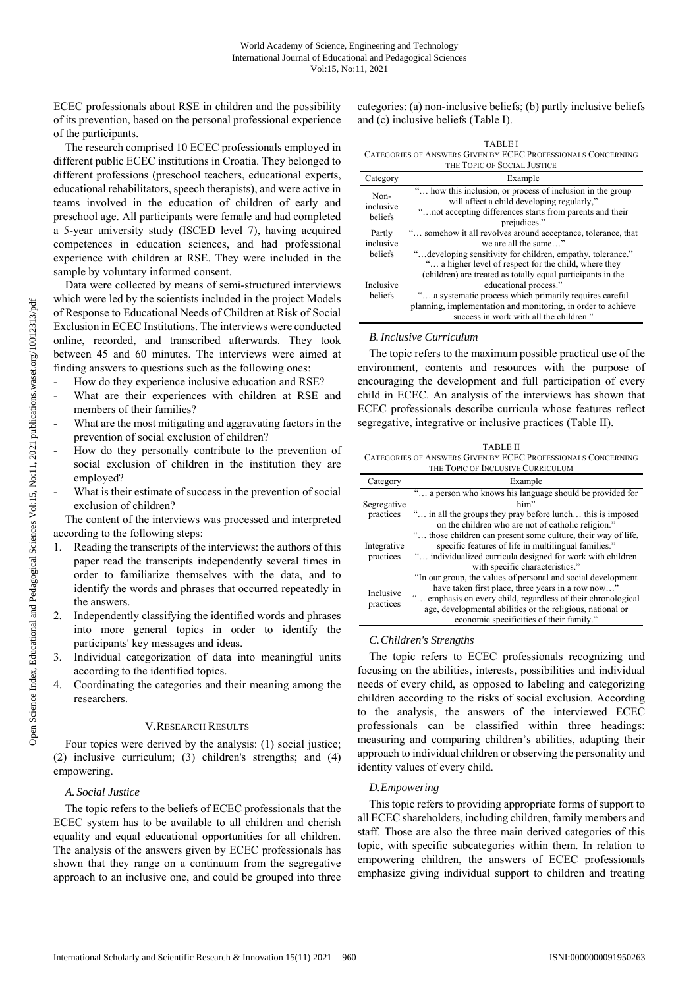ECEC professionals about RSE in children and the possibility of its prevention, based on the personal professional experience of the participants.

The research comprised 10 ECEC professionals employed in different public ECEC institutions in Croatia. They belonged to different professions (preschool teachers, educational experts, educational rehabilitators, speech therapists), and were active in teams involved in the education of children of early and preschool age. All participants were female and had completed a 5-year university study (ISCED level 7), having acquired competences in education sciences, and had professional experience with children at RSE. They were included in the sample by voluntary informed consent.

Data were collected by means of semi-structured interviews which were led by the scientists included in the project Models of Response to Educational Needs of Children at Risk of Social Exclusion in ECEC Institutions. The interviews were conducted online, recorded, and transcribed afterwards. They took between 45 and 60 minutes. The interviews were aimed at finding answers to questions such as the following ones:

- How do they experience inclusive education and RSE?
- What are their experiences with children at RSE and members of their families?
- What are the most mitigating and aggravating factors in the prevention of social exclusion of children?
- How do they personally contribute to the prevention of social exclusion of children in the institution they are employed?
- What is their estimate of success in the prevention of social exclusion of children?

The content of the interviews was processed and interpreted according to the following steps:

- 1. Reading the transcripts of the interviews: the authors of this paper read the transcripts independently several times in order to familiarize themselves with the data, and to identify the words and phrases that occurred repeatedly in the answers.
- 2. Independently classifying the identified words and phrases into more general topics in order to identify the participants' key messages and ideas.
- 3. Individual categorization of data into meaningful units according to the identified topics.
- 4. Coordinating the categories and their meaning among the researchers.

## V.RESEARCH RESULTS

Four topics were derived by the analysis: (1) social justice; (2) inclusive curriculum; (3) children's strengths; and (4) empowering.

#### *A. Social Justice*

The topic refers to the beliefs of ECEC professionals that the ECEC system has to be available to all children and cherish equality and equal educational opportunities for all children. The analysis of the answers given by ECEC professionals has shown that they range on a continuum from the segregative approach to an inclusive one, and could be grouped into three categories: (a) non-inclusive beliefs; (b) partly inclusive beliefs and (c) inclusive beliefs (Table I).

| <b>TABLE I</b>                                               |
|--------------------------------------------------------------|
| CATEGORIES OF ANSWERS GIVEN BY ECEC PROFESSIONALS CONCERNING |

| THE TOPIC OF SOCIAL JUSTICE    |                                                                                                                                                                                                                                                                             |  |
|--------------------------------|-----------------------------------------------------------------------------------------------------------------------------------------------------------------------------------------------------------------------------------------------------------------------------|--|
| Category                       | Example                                                                                                                                                                                                                                                                     |  |
| Non-<br>inclusive<br>beliefs   | " how this inclusion, or process of inclusion in the group<br>will affect a child developing regularly,"<br>" not accepting differences starts from parents and their<br>prejudices."                                                                                       |  |
| Partly<br>inclusive<br>beliefs | " somehow it all revolves around acceptance, tolerance, that<br>we are all the same"<br>" developing sensitivity for children, empathy, tolerance."<br>" a higher level of respect for the child, where they<br>(children) are treated as totally equal participants in the |  |
| Inclusive<br>beliefs           | educational process."<br>" a systematic process which primarily requires careful<br>planning, implementation and monitoring, in order to achieve<br>success in work with all the children."                                                                                 |  |

## *B.Inclusive Curriculum*

The topic refers to the maximum possible practical use of the environment, contents and resources with the purpose of encouraging the development and full participation of every child in ECEC. An analysis of the interviews has shown that ECEC professionals describe curricula whose features reflect segregative, integrative or inclusive practices (Table II).

TABLE II CATEGORIES OF ANSWERS GIVEN BY ECEC PROFESSIONALS CONCERNING THE TOPIC OF INCLUSIVE CURRICULUM

| Category                 | Example                                                       |
|--------------------------|---------------------------------------------------------------|
| Segregative<br>practices | " a person who knows his language should be provided for      |
|                          | him"                                                          |
|                          | " in all the groups they pray before lunch this is imposed    |
|                          | on the children who are not of catholic religion."            |
| Integrative<br>practices | " those children can present some culture, their way of life, |
|                          | specific features of life in multilingual families."          |
|                          | " individualized curricula designed for work with children    |
|                          | with specific characteristics."                               |
| Inclusive<br>practices   | "In our group, the values of personal and social development  |
|                          | have taken first place, three years in a row now"             |
|                          | " emphasis on every child, regardless of their chronological  |
|                          | age, developmental abilities or the religious, national or    |
|                          | economic specificities of their family."                      |

## *C.Children's Strengths*

The topic refers to ECEC professionals recognizing and focusing on the abilities, interests, possibilities and individual needs of every child, as opposed to labeling and categorizing children according to the risks of social exclusion. According to the analysis, the answers of the interviewed ECEC professionals can be classified within three headings: measuring and comparing children's abilities, adapting their approach to individual children or observing the personality and identity values of every child.

# *D.Empowering*

This topic refers to providing appropriate forms of support to all ECEC shareholders, including children, family members and staff. Those are also the three main derived categories of this topic, with specific subcategories within them. In relation to empowering children, the answers of ECEC professionals emphasize giving individual support to children and treating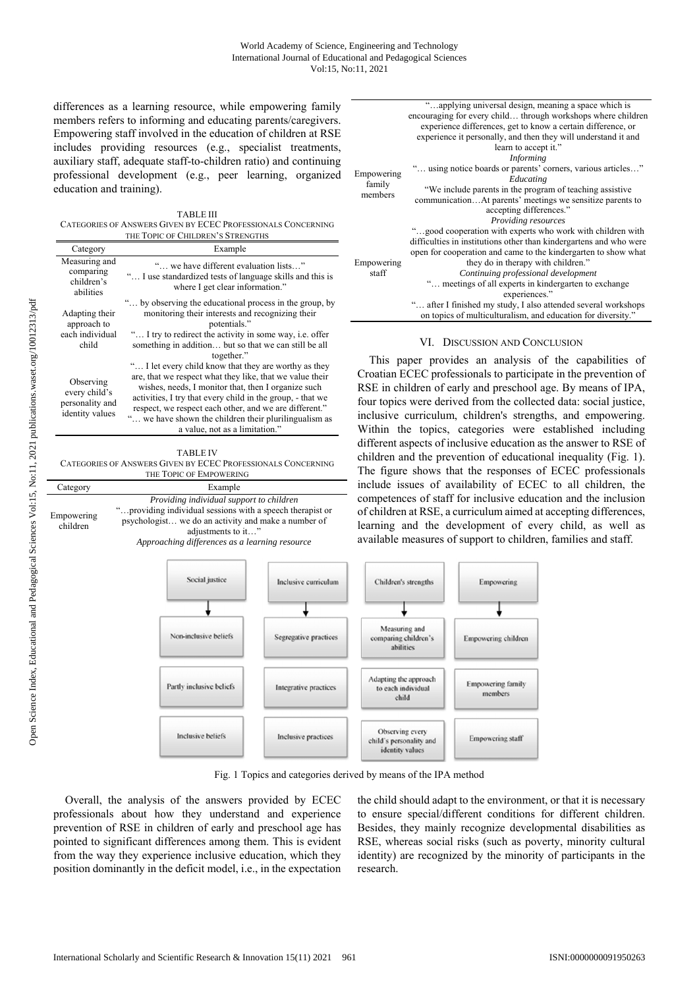differences as a learning resource, while empowering family members refers to informing and educating parents/caregivers. Empowering staff involved in the education of children at RSE includes providing resources (e.g., specialist treatments, auxiliary staff, adequate staff-to-children ratio) and continuing professional development (e.g., peer learning, organized education and training).

TABLE III CATEGORIES OF ANSWERS GIVEN BY ECEC PROFESSIONALS CONCERNING THE TOPIC OF CHILDREN'S STRENGTHS

| Category                                                         | Example                                                                                                                                                                                                                                                                                                                                                                                     |  |
|------------------------------------------------------------------|---------------------------------------------------------------------------------------------------------------------------------------------------------------------------------------------------------------------------------------------------------------------------------------------------------------------------------------------------------------------------------------------|--|
| Measuring and<br>comparing<br>children's<br>abilities            | " we have different evaluation lists"<br>" I use standardized tests of language skills and this is<br>where I get clear information."                                                                                                                                                                                                                                                       |  |
| Adapting their<br>approach to<br>each individual<br>child        | " by observing the educational process in the group, by<br>monitoring their interests and recognizing their<br>potentials."<br>" I try to redirect the activity in some way, i.e. offer<br>something in addition but so that we can still be all<br>together."                                                                                                                              |  |
| Observing<br>every child's<br>personality and<br>identity values | " I let every child know that they are worthy as they<br>are, that we respect what they like, that we value their<br>wishes, needs, I monitor that, then I organize such<br>activities, I try that every child in the group, - that we<br>respect, we respect each other, and we are different."<br>" we have shown the children their plurilingualism as<br>a value, not as a limitation." |  |

TABLE IV CATEGORIES OF ANSWERS GIVEN BY ECEC PROFESSIONALS CONCERNING THE TOPIC OF EMPOWERING

| Category               | Example                                                                                                |
|------------------------|--------------------------------------------------------------------------------------------------------|
| Empowering<br>children | Providing individual support to children<br>" providing individual sessions with a speech therapist or |
|                        | psychologist we do an activity and make a number of<br>adjustments to it"                              |
|                        | Approaching differences as a learning resource                                                         |

|                     | "applying universal design, meaning a space which is               |
|---------------------|--------------------------------------------------------------------|
|                     | encouraging for every child through workshops where children       |
|                     | experience differences, get to know a certain difference, or       |
|                     | experience it personally, and then they will understand it and     |
|                     | learn to accept it."                                               |
|                     | <i>Informing</i>                                                   |
|                     | " using notice boards or parents' corners, various articles"       |
| Empowering          | Educating                                                          |
| family<br>members   | "We include parents in the program of teaching assistive           |
|                     | communicationAt parents' meetings we sensitize parents to          |
|                     | accepting differences."                                            |
|                     | Providing resources                                                |
|                     | "good cooperation with experts who work with children with         |
| Empowering<br>staff | difficulties in institutions other than kindergartens and who were |
|                     | open for cooperation and came to the kindergarten to show what     |
|                     | they do in therapy with children."                                 |
|                     | Continuing professional development                                |
|                     | " meetings of all experts in kindergarten to exchange              |
|                     | experiences."                                                      |
|                     | " after I finished my study, I also attended several workshops     |
|                     | on topics of multiculturalism, and education for diversity."       |

## VI. DISCUSSION AND CONCLUSION

This paper provides an analysis of the capabilities of Croatian ECEC professionals to participate in the prevention of RSE in children of early and preschool age. By means of IPA, four topics were derived from the collected data: social justice, inclusive curriculum, children's strengths, and empowering. Within the topics, categories were established including different aspects of inclusive education as the answer to RSE of children and the prevention of educational inequality (Fig. 1). The figure shows that the responses of ECEC professionals include issues of availability of ECEC to all children, the competences of staff for inclusive education and the inclusion of children at RSE, a curriculum aimed at accepting differences, learning and the development of every child, as well as available measures of support to children, families and staff.



Fig. 1 Topics and categories derived by means of the IPA method

Overall, the analysis of the answers provided by ECEC professionals about how they understand and experience prevention of RSE in children of early and preschool age has pointed to significant differences among them. This is evident from the way they experience inclusive education, which they position dominantly in the deficit model, i.e., in the expectation

the child should adapt to the environment, or that it is necessary to ensure special/different conditions for different children. Besides, they mainly recognize developmental disabilities as RSE, whereas social risks (such as poverty, minority cultural identity) are recognized by the minority of participants in the research.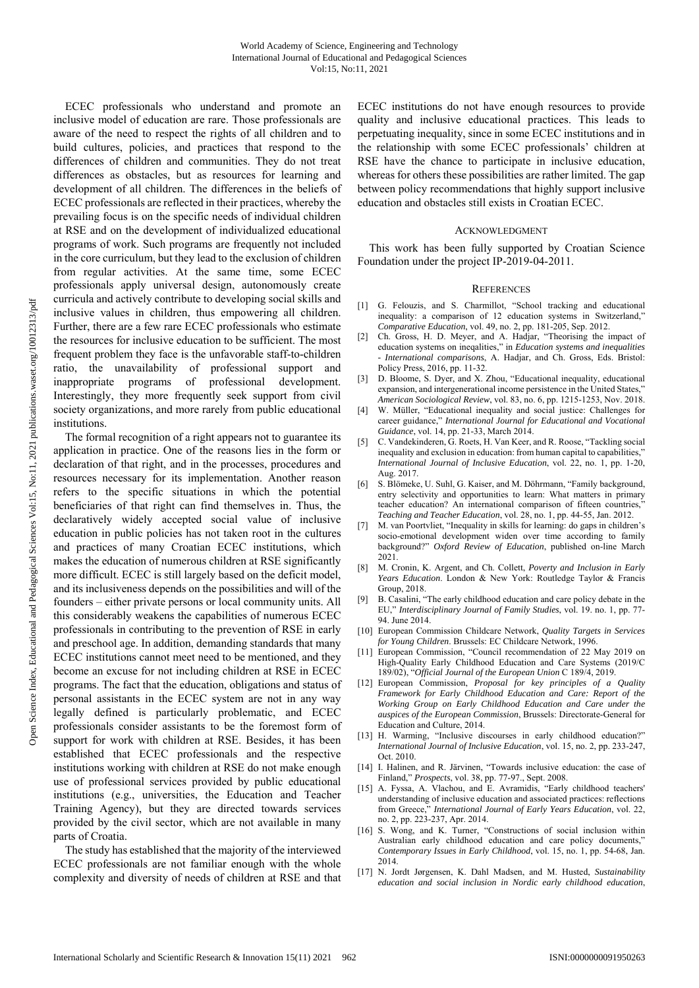ECEC professionals who understand and promote an inclusive model of education are rare. Those professionals are aware of the need to respect the rights of all children and to build cultures, policies, and practices that respond to the differences of children and communities. They do not treat differences as obstacles, but as resources for learning and development of all children. The differences in the beliefs of ECEC professionals are reflected in their practices, whereby the prevailing focus is on the specific needs of individual children at RSE and on the development of individualized educational programs of work. Such programs are frequently not included in the core curriculum, but they lead to the exclusion of children from regular activities. At the same time, some ECEC professionals apply universal design, autonomously create curricula and actively contribute to developing social skills and inclusive values in children, thus empowering all children. Further, there are a few rare ECEC professionals who estimate the resources for inclusive education to be sufficient. The most frequent problem they face is the unfavorable staff-to-children ratio, the unavailability of professional support and inappropriate programs of professional development. Interestingly, they more frequently seek support from civil society organizations, and more rarely from public educational institutions.

The formal recognition of a right appears not to guarantee its application in practice. One of the reasons lies in the form or declaration of that right, and in the processes, procedures and resources necessary for its implementation. Another reason refers to the specific situations in which the potential beneficiaries of that right can find themselves in. Thus, the declaratively widely accepted social value of inclusive education in public policies has not taken root in the cultures and practices of many Croatian ECEC institutions, which makes the education of numerous children at RSE significantly more difficult. ECEC is still largely based on the deficit model, and its inclusiveness depends on the possibilities and will of the founders – either private persons or local community units. All this considerably weakens the capabilities of numerous ECEC professionals in contributing to the prevention of RSE in early and preschool age. In addition, demanding standards that many ECEC institutions cannot meet need to be mentioned, and they become an excuse for not including children at RSE in ECEC programs. The fact that the education, obligations and status of personal assistants in the ECEC system are not in any way legally defined is particularly problematic, and ECEC professionals consider assistants to be the foremost form of support for work with children at RSE. Besides, it has been established that ECEC professionals and the respective institutions working with children at RSE do not make enough use of professional services provided by public educational institutions (e.g., universities, the Education and Teacher Training Agency), but they are directed towards services provided by the civil sector, which are not available in many parts of Croatia.

The study has established that the majority of the interviewed ECEC professionals are not familiar enough with the whole complexity and diversity of needs of children at RSE and that ECEC institutions do not have enough resources to provide quality and inclusive educational practices. This leads to perpetuating inequality, since in some ECEC institutions and in the relationship with some ECEC professionals' children at RSE have the chance to participate in inclusive education, whereas for others these possibilities are rather limited. The gap between policy recommendations that highly support inclusive education and obstacles still exists in Croatian ECEC.

#### ACKNOWLEDGMENT

This work has been fully supported by Croatian Science Foundation under the project IP-2019-04-2011.

### **REFERENCES**

- [1] G. Felouzis, and S. Charmillot, "School tracking and educational inequality: a comparison of 12 education systems in Switzerland," *Comparative Education*, vol. 49, no. 2, pp. 181-205, Sep. 2012.
- [2] Ch. Gross, H. D. Meyer, and A. Hadjar, "Theorising the impact of education systems on ineqalities," in *Education systems and inequalities - International comparisons*, A. Hadjar, and Ch. Gross, Eds. Bristol: Policy Press, 2016, pp. 11-32.
- [3] D. Bloome, S. Dyer, and X. Zhou, "Educational inequality, educational expansion, and intergenerational income persistence in the United States," *American Sociological Review*, vol. 83, no. 6, pp. 1215-1253, Nov. 2018.
- [4] W. Müller, "Educational inequality and social justice: Challenges for career guidance," *International Journal for Educational and Vocational Guidance*, vol. 14, pp. 21-33, March 2014.
- [5] C. Vandekinderen, G. Roets, H. Van Keer, and R. Roose, "Tackling social inequality and exclusion in education: from human capital to capabilities," *International Journal of Inclusive Education*, vol. 22, no. 1, pp. 1-20, Aug. 2017.
- [6] S. Blömeke, U. Suhl, G. Kaiser, and M. Döhrmann, "Family background, entry selectivity and opportunities to learn: What matters in primary teacher education? An international comparison of fifteen countries,<sup>3</sup> *Teaching and Teacher Education*, vol. 28, no. 1, pp. 44-55, Jan. 2012.
- [7] M. van Poortvliet, "Inequality in skills for learning: do gaps in children's socio-emotional development widen over time according to family background?" *Oxford Review of Education*, published on-line March 2021.
- [8] M. Cronin, K. Argent, and Ch. Collett, *Poverty and Inclusion in Early Years Education*. London & New York: Routledge Taylor & Francis Group, 2018.
- [9] B. Casalini, "The early childhood education and care policy debate in the EU," *Interdisciplinary Journal of Family Studies*, vol. 19. no. 1, pp. 77- 94. June 2014.
- [10] European Commission Childcare Network, *Quality Targets in Services for Young Children*. Brussels: EC Childcare Network, 1996.
- [11] European Commission, "Council recommendation of 22 May 2019 on High-Quality Early Childhood Education and Care Systems (2019/C 189/02), "*Official Journal of the European Union* C 189/4, 2019.
- [12] European Commission, *Proposal for key principles of a Quality Framework for Early Childhood Education and Care: Report of the Working Group on Early Childhood Education and Care under the auspices of the European Commission*, Brussels: Directorate-General for Education and Culture, 2014.
- [13] H. Warming, "Inclusive discourses in early childhood education?" *International Journal of Inclusive Education*, vol. 15, no. 2, pp. 233-247, Oct. 2010.
- [14] I. Halinen, and R. Järvinen, "Towards inclusive education: the case of Finland," *Prospects*, vol. 38, pp. 77-97., Sept. 2008.
- [15] A. Fyssa, A. Vlachou, and E. Avramidis, "Early childhood teachers' understanding of inclusive education and associated practices: reflections from Greece," *International Journal of Early Years Education*, vol. 22, no. 2, pp. 223-237, Apr. 2014.
- [16] S. Wong, and K. Turner, "Constructions of social inclusion within Australian early childhood education and care policy documents," *Contemporary Issues in Early Childhood*, vol. 15, no. 1, pp. 54-68, Jan. 2014.
- [17] N. Jordt Jørgensen, K. Dahl Madsen, and M. Husted, *Sustainability education and social inclusion in Nordic early childhood education*,